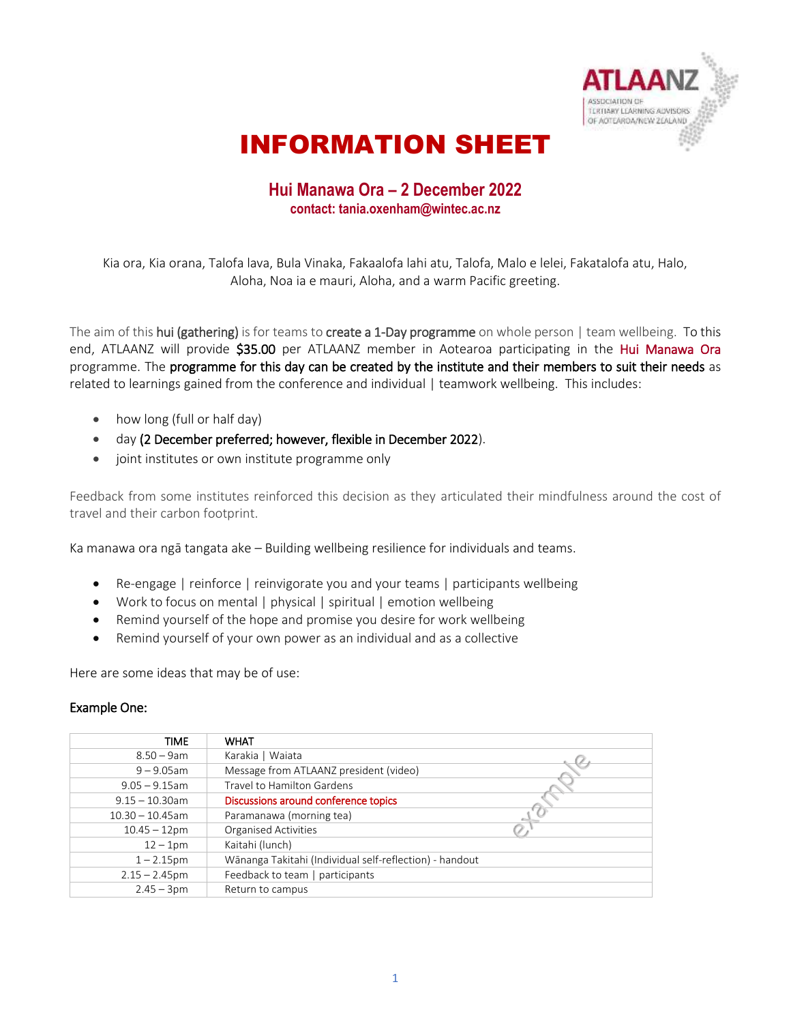

# INFORMATION SHEET

### **Hui Manawa Ora – 2 December 2022 contact: tania.oxenham@wintec.ac.nz**

Kia ora, Kia orana, Talofa lava, Bula Vinaka, Fakaalofa lahi atu, Talofa, Malo e lelei, Fakatalofa atu, Halo, Aloha, Noa ia e mauri, Aloha, and a warm Pacific greeting.

The aim of this hui (gathering) is for teams to create a 1-Day programme on whole person | team wellbeing. To this end, ATLAANZ will provide \$35.00 per ATLAANZ member in Aotearoa participating in the Hui Manawa Ora programme. The programme for this day can be created by the institute and their members to suit their needs as related to learnings gained from the conference and individual | teamwork wellbeing. This includes:

- how long (full or half day)
- day (2 December preferred; however, flexible in December 2022).
- joint institutes or own institute programme only

Feedback from some institutes reinforced this decision as they articulated their mindfulness around the cost of travel and their carbon footprint.

Ka manawa ora ngā tangata ake – Building wellbeing resilience for individuals and teams.

- Re-engage | reinforce | reinvigorate you and your teams | participants wellbeing
- Work to focus on mental | physical | spiritual | emotion wellbeing
- Remind yourself of the hope and promise you desire for work wellbeing
- Remind yourself of your own power as an individual and as a collective

Here are some ideas that may be of use:

#### Example One:

| <b>TIME</b>        | <b>WHAT</b>                                             |
|--------------------|---------------------------------------------------------|
| $8.50 - 9$ am      | Karakia   Waiata                                        |
| $9 - 9.05$ am      | Message from ATLAANZ president (video)                  |
| $9.05 - 9.15$ am   | Travel to Hamilton Gardens                              |
| $9.15 - 10.30$ am  | Discussions around conference topics                    |
| $10.30 - 10.45$ am | Paramanawa (morning tea)                                |
| $10.45 - 12$ pm    | <b>Organised Activities</b>                             |
| $12 - 1$ pm        | Kaitahi (lunch)                                         |
| $1 - 2.15$ pm      | Wānanga Takitahi (Individual self-reflection) - handout |
| $2.15 - 2.45$ pm   | Feedback to team   participants                         |
| $2.45 - 3pm$       | Return to campus                                        |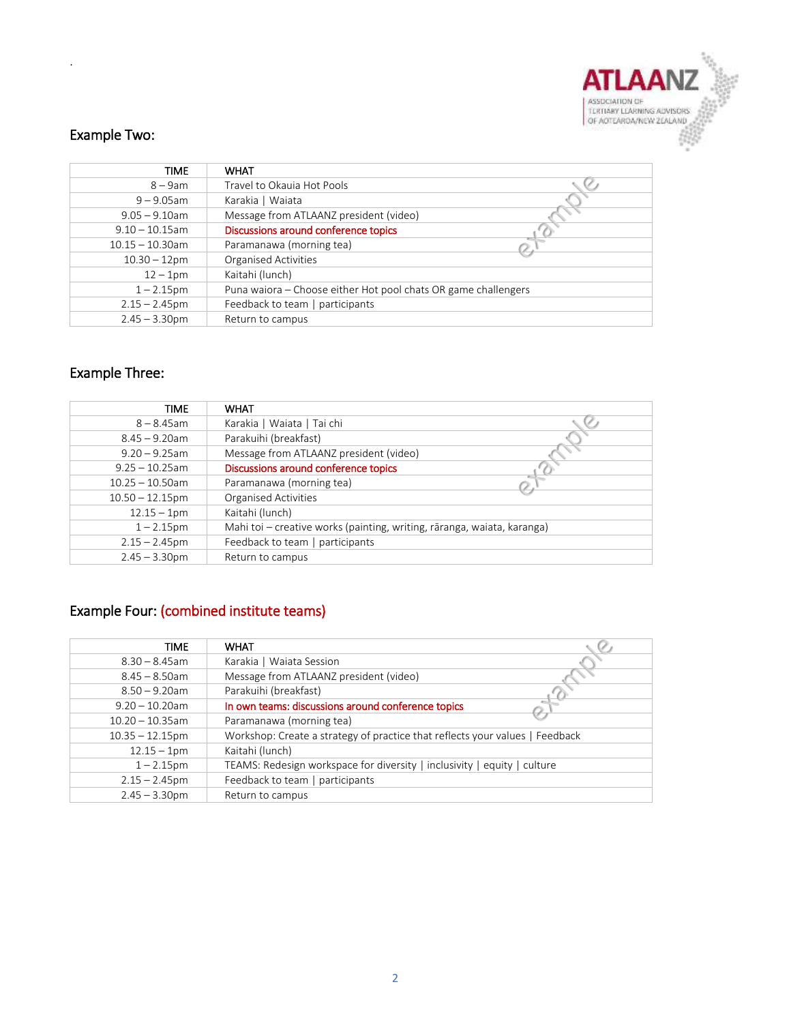

## Example Two:

.

| <b>TIME</b>        | <b>WHAT</b>                                                    |
|--------------------|----------------------------------------------------------------|
| $8 - 9$ am         | Travel to Okauja Hot Pools                                     |
| $9 - 9.05$ am      | Karakia   Waiata                                               |
| $9.05 - 9.10$ am   | Message from ATLAANZ president (video)                         |
| $9.10 - 10.15$ am  | Discussions around conference topics                           |
| $10.15 - 10.30$ am | Paramanawa (morning tea)                                       |
| $10.30 - 12$ pm    | <b>Organised Activities</b>                                    |
| $12 - 1$ pm        | Kaitahi (lunch)                                                |
| $1 - 2.15$ pm      | Puna waiora – Choose either Hot pool chats OR game challengers |
| $2.15 - 2.45$ pm   | Feedback to team   participants                                |
| $2.45 - 3.30$ pm   | Return to campus                                               |

# Example Three:

| <b>TIME</b>        | <b>WHAT</b>                                                             |  |
|--------------------|-------------------------------------------------------------------------|--|
| $8 - 8.45$ am      | Karakia   Waiata   Tai chi                                              |  |
| $8.45 - 9.20$ am   | Parakuihi (breakfast)                                                   |  |
| $9.20 - 9.25$ am   | Message from ATLAANZ president (video)                                  |  |
| $9.25 - 10.25$ am  | Discussions around conference topics                                    |  |
| $10.25 - 10.50$ am | Paramanawa (morning tea)                                                |  |
| $10.50 - 12.15$ pm | <b>Organised Activities</b>                                             |  |
| $12.15 - 1pm$      | Kaitahi (lunch)                                                         |  |
| $1 - 2.15$ pm      | Mahi toi - creative works (painting, writing, rāranga, waiata, karanga) |  |
| $2.15 - 2.45$ pm   | Feedback to team   participants                                         |  |
| $2.45 - 3.30$ pm   | Return to campus                                                        |  |

## Example Four: (combined institute teams)

| TIME               | <b>WHAT</b>                                                                  |  |  |
|--------------------|------------------------------------------------------------------------------|--|--|
| $8.30 - 8.45$ am   | Karakia   Waiata Session                                                     |  |  |
| $8.45 - 8.50$ am   | Message from ATLAANZ president (video)                                       |  |  |
| $8.50 - 9.20$ am   | Parakuihi (breakfast)                                                        |  |  |
| $9.20 - 10.20$ am  | In own teams: discussions around conference topics                           |  |  |
| $10.20 - 10.35$ am | Paramanawa (morning tea)                                                     |  |  |
| $10.35 - 12.15$ pm | Workshop: Create a strategy of practice that reflects your values   Feedback |  |  |
| $12.15 - 1pm$      | Kaitahi (lunch)                                                              |  |  |
| $1 - 2.15$ pm      | TEAMS: Redesign workspace for diversity   inclusivity   equity   culture     |  |  |
| $2.15 - 2.45$ pm   | Feedback to team   participants                                              |  |  |
| $2.45 - 3.30$ pm   | Return to campus                                                             |  |  |